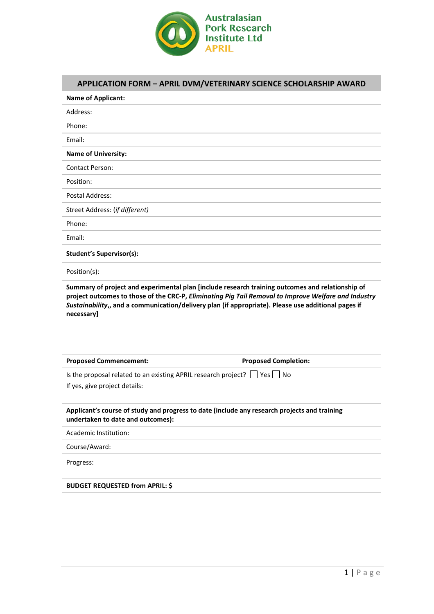

## **APPLICATION FORM – APRIL DVM/VETERINARY SCIENCE SCHOLARSHIP AWARD**

| <b>Name of Applicant:</b>                                                                                                                                                                                                                                                                                                     |
|-------------------------------------------------------------------------------------------------------------------------------------------------------------------------------------------------------------------------------------------------------------------------------------------------------------------------------|
| Address:                                                                                                                                                                                                                                                                                                                      |
| Phone:                                                                                                                                                                                                                                                                                                                        |
| Email:                                                                                                                                                                                                                                                                                                                        |
| <b>Name of University:</b>                                                                                                                                                                                                                                                                                                    |
| <b>Contact Person:</b>                                                                                                                                                                                                                                                                                                        |
| Position:                                                                                                                                                                                                                                                                                                                     |
| <b>Postal Address:</b>                                                                                                                                                                                                                                                                                                        |
| Street Address: (if different)                                                                                                                                                                                                                                                                                                |
| Phone:                                                                                                                                                                                                                                                                                                                        |
| Email:                                                                                                                                                                                                                                                                                                                        |
| <b>Student's Supervisor(s):</b>                                                                                                                                                                                                                                                                                               |
| Position(s):                                                                                                                                                                                                                                                                                                                  |
| Summary of project and experimental plan [include research training outcomes and relationship of<br>project outcomes to those of the CRC-P, Eliminating Pig Tail Removal to Improve Welfare and Industry<br>Sustainability,, and a communication/delivery plan (if appropriate). Please use additional pages if<br>necessary] |
| <b>Proposed Commencement:</b><br><b>Proposed Completion:</b>                                                                                                                                                                                                                                                                  |
| Is the proposal related to an existing APRIL research project? $\Box$ Yes $\Box$ No<br>If yes, give project details:                                                                                                                                                                                                          |
| Applicant's course of study and progress to date (include any research projects and training<br>undertaken to date and outcomes):                                                                                                                                                                                             |
| Academic Institution:                                                                                                                                                                                                                                                                                                         |
| Course/Award:                                                                                                                                                                                                                                                                                                                 |
|                                                                                                                                                                                                                                                                                                                               |
| Progress:                                                                                                                                                                                                                                                                                                                     |